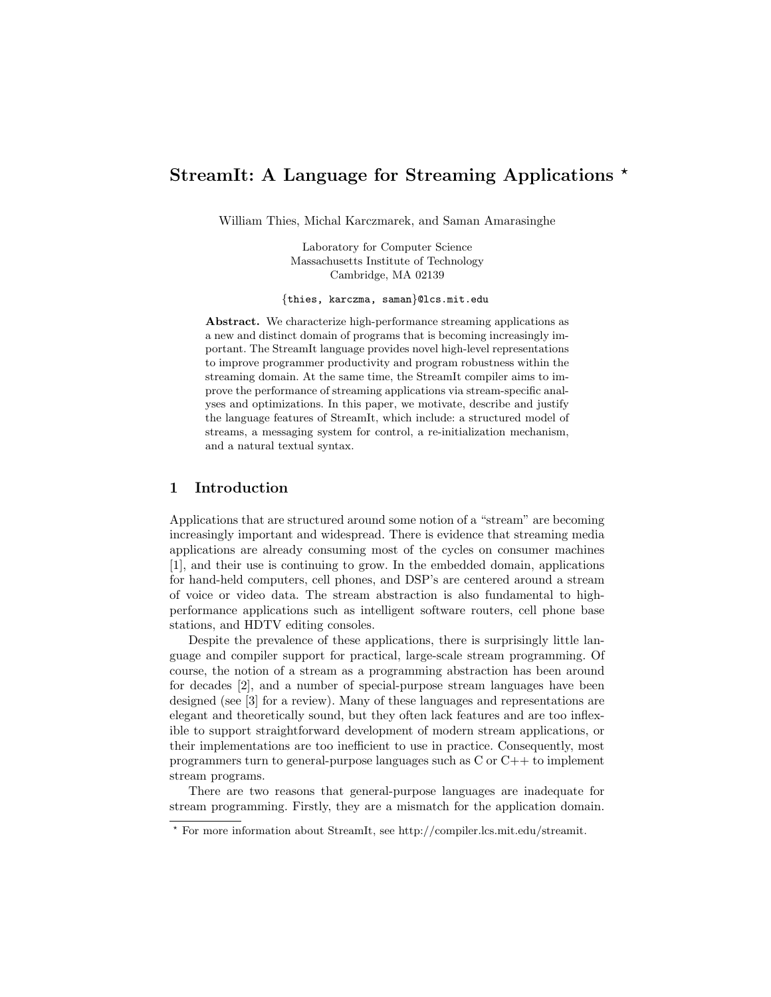# StreamIt: A Language for Streaming Applications  $\star$

William Thies, Michal Karczmarek, and Saman Amarasinghe

Laboratory for Computer Science Massachusetts Institute of Technology Cambridge, MA 02139

{thies, karczma, saman}@lcs.mit.edu

Abstract. We characterize high-performance streaming applications as a new and distinct domain of programs that is becoming increasingly important. The StreamIt language provides novel high-level representations to improve programmer productivity and program robustness within the streaming domain. At the same time, the StreamIt compiler aims to improve the performance of streaming applications via stream-specific analyses and optimizations. In this paper, we motivate, describe and justify the language features of StreamIt, which include: a structured model of streams, a messaging system for control, a re-initialization mechanism, and a natural textual syntax.

## 1 Introduction

Applications that are structured around some notion of a "stream" are becoming increasingly important and widespread. There is evidence that streaming media applications are already consuming most of the cycles on consumer machines [1], and their use is continuing to grow. In the embedded domain, applications for hand-held computers, cell phones, and DSP's are centered around a stream of voice or video data. The stream abstraction is also fundamental to highperformance applications such as intelligent software routers, cell phone base stations, and HDTV editing consoles.

Despite the prevalence of these applications, there is surprisingly little language and compiler support for practical, large-scale stream programming. Of course, the notion of a stream as a programming abstraction has been around for decades [2], and a number of special-purpose stream languages have been designed (see [3] for a review). Many of these languages and representations are elegant and theoretically sound, but they often lack features and are too inflexible to support straightforward development of modern stream applications, or their implementations are too inefficient to use in practice. Consequently, most programmers turn to general-purpose languages such as C or C++ to implement stream programs.

There are two reasons that general-purpose languages are inadequate for stream programming. Firstly, they are a mismatch for the application domain.

<sup>?</sup> For more information about StreamIt, see http://compiler.lcs.mit.edu/streamit.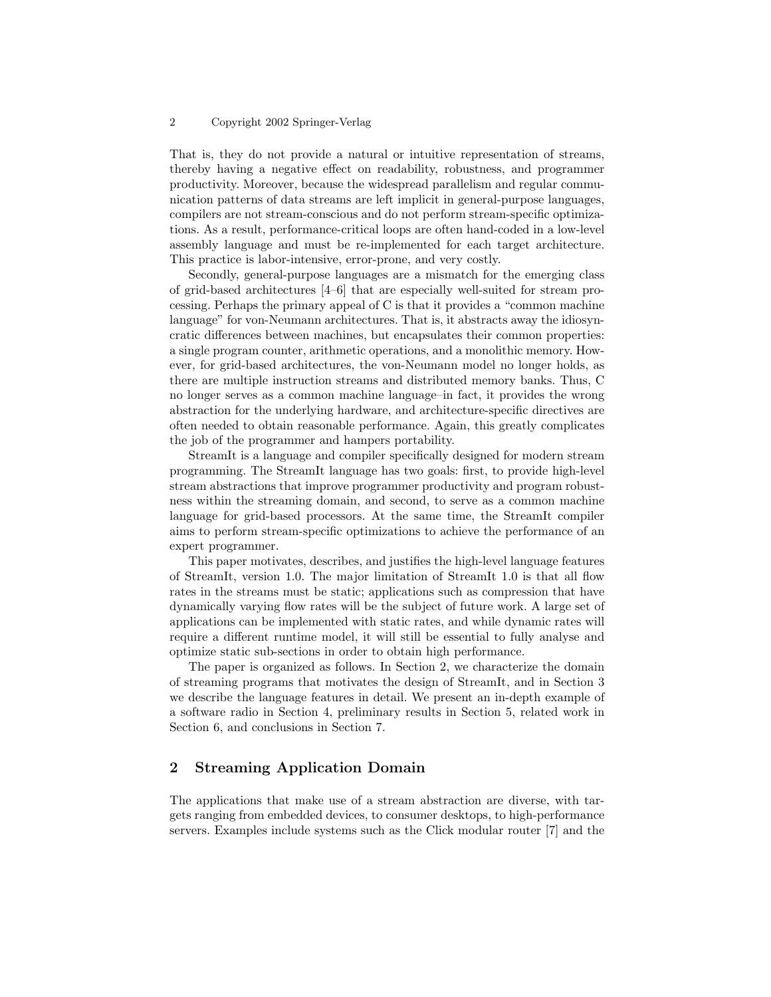That is, they do not provide a natural or intuitive representation of streams, thereby having a negative effect on readability, robustness, and programmer productivity. Moreover, because the widespread parallelism and regular communication patterns of data streams are left implicit in general-purpose languages, compilers are not stream-conscious and do not perform stream-specific optimizations. As a result, performance-critical loops are often hand-coded in a low-level assembly language and must be re-implemented for each target architecture. This practice is labor-intensive, error-prone, and very costly.

Secondly, general-purpose languages are a mismatch for the emerging class of grid-based architectures [4–6] that are especially well-suited for stream processing. Perhaps the primary appeal of C is that it provides a "common machine language" for von-Neumann architectures. That is, it abstracts away the idiosyncratic differences between machines, but encapsulates their common properties: a single program counter, arithmetic operations, and a monolithic memory. However, for grid-based architectures, the von-Neumann model no longer holds, as there are multiple instruction streams and distributed memory banks. Thus, C no longer serves as a common machine language–in fact, it provides the wrong abstraction for the underlying hardware, and architecture-specific directives are often needed to obtain reasonable performance. Again, this greatly complicates the job of the programmer and hampers portability.

StreamIt is a language and compiler specifically designed for modern stream programming. The StreamIt language has two goals: first, to provide high-level stream abstractions that improve programmer productivity and program robustness within the streaming domain, and second, to serve as a common machine language for grid-based processors. At the same time, the StreamIt compiler aims to perform stream-specific optimizations to achieve the performance of an expert programmer.

This paper motivates, describes, and justifies the high-level language features of StreamIt, version 1.0. The major limitation of StreamIt 1.0 is that all flow rates in the streams must be static; applications such as compression that have dynamically varying flow rates will be the subject of future work. A large set of applications can be implemented with static rates, and while dynamic rates will require a different runtime model, it will still be essential to fully analyse and optimize static sub-sections in order to obtain high performance.

The paper is organized as follows. In Section 2, we characterize the domain of streaming programs that motivates the design of StreamIt, and in Section 3 we describe the language features in detail. We present an in-depth example of a software radio in Section 4, preliminary results in Section 5, related work in Section 6, and conclusions in Section 7.

## 2 Streaming Application Domain

The applications that make use of a stream abstraction are diverse, with targets ranging from embedded devices, to consumer desktops, to high-performance servers. Examples include systems such as the Click modular router [7] and the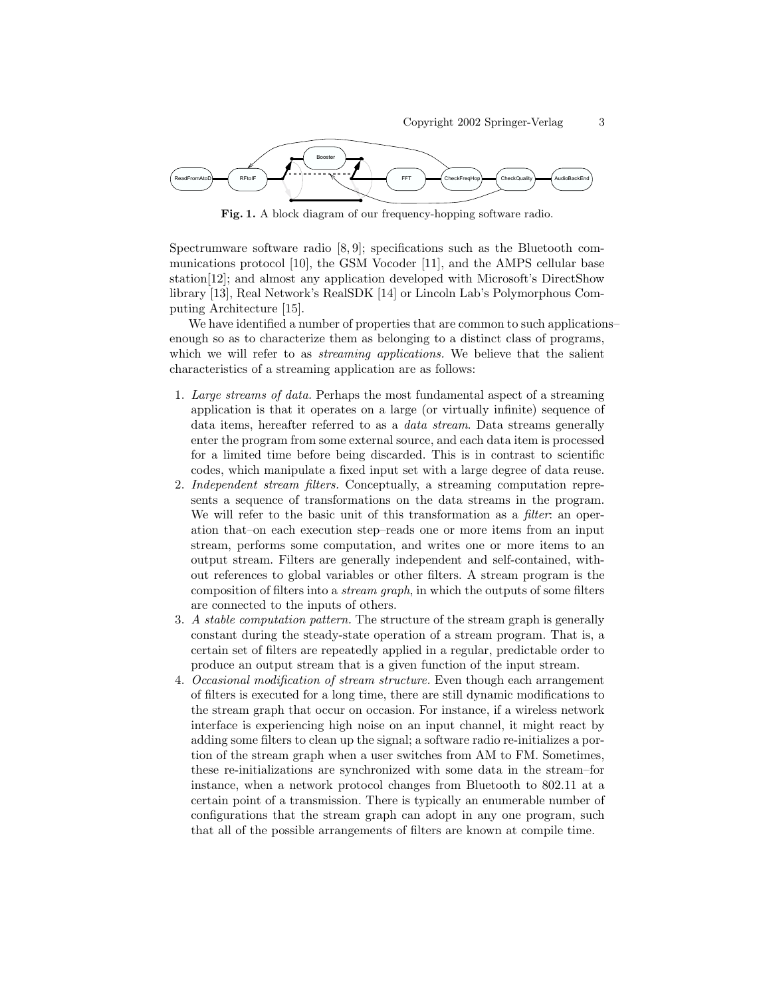

Fig. 1. A block diagram of our frequency-hopping software radio.

Spectrumware software radio [8, 9]; specifications such as the Bluetooth communications protocol [10], the GSM Vocoder [11], and the AMPS cellular base station[12]; and almost any application developed with Microsoft's DirectShow library [13], Real Network's RealSDK [14] or Lincoln Lab's Polymorphous Computing Architecture [15].

We have identified a number of properties that are common to such applications– enough so as to characterize them as belonging to a distinct class of programs, which we will refer to as *streaming applications*. We believe that the salient characteristics of a streaming application are as follows:

- 1. Large streams of data. Perhaps the most fundamental aspect of a streaming application is that it operates on a large (or virtually infinite) sequence of data items, hereafter referred to as a data stream. Data streams generally enter the program from some external source, and each data item is processed for a limited time before being discarded. This is in contrast to scientific codes, which manipulate a fixed input set with a large degree of data reuse.
- 2. Independent stream filters. Conceptually, a streaming computation represents a sequence of transformations on the data streams in the program. We will refer to the basic unit of this transformation as a *filter*: an operation that–on each execution step–reads one or more items from an input stream, performs some computation, and writes one or more items to an output stream. Filters are generally independent and self-contained, without references to global variables or other filters. A stream program is the composition of filters into a stream graph, in which the outputs of some filters are connected to the inputs of others.
- 3. A stable computation pattern. The structure of the stream graph is generally constant during the steady-state operation of a stream program. That is, a certain set of filters are repeatedly applied in a regular, predictable order to produce an output stream that is a given function of the input stream.
- 4. Occasional modification of stream structure. Even though each arrangement of filters is executed for a long time, there are still dynamic modifications to the stream graph that occur on occasion. For instance, if a wireless network interface is experiencing high noise on an input channel, it might react by adding some filters to clean up the signal; a software radio re-initializes a portion of the stream graph when a user switches from AM to FM. Sometimes, these re-initializations are synchronized with some data in the stream–for instance, when a network protocol changes from Bluetooth to 802.11 at a certain point of a transmission. There is typically an enumerable number of configurations that the stream graph can adopt in any one program, such that all of the possible arrangements of filters are known at compile time.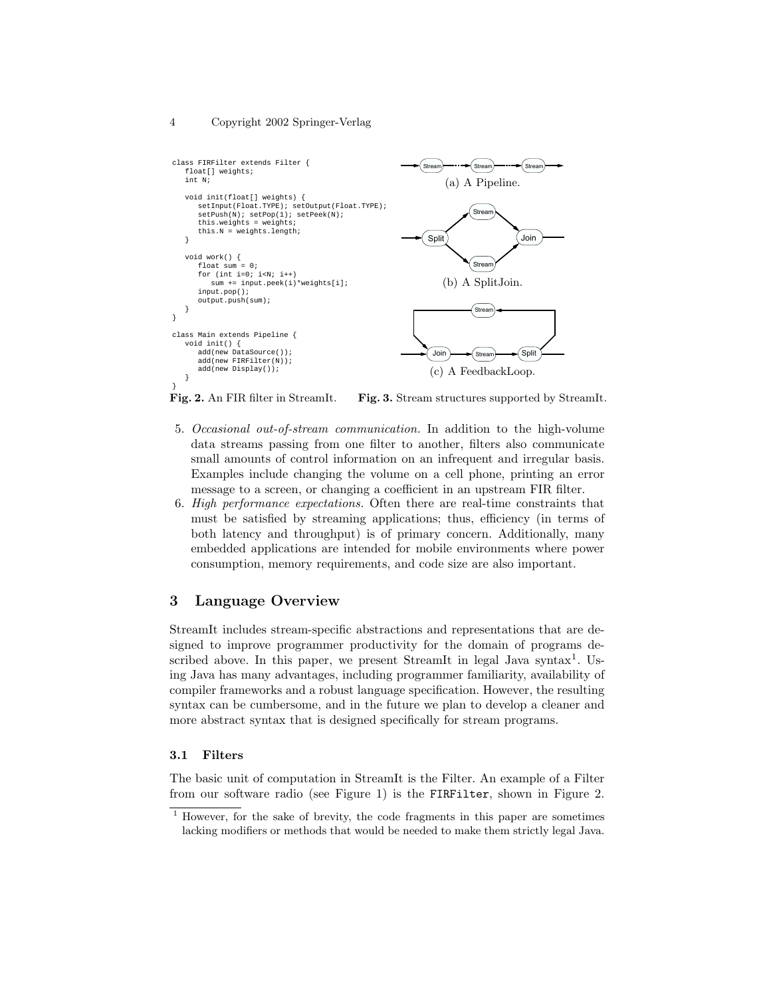



Fig. 3. Stream structures supported by StreamIt.

- 5. Occasional out-of-stream communication. In addition to the high-volume data streams passing from one filter to another, filters also communicate small amounts of control information on an infrequent and irregular basis. Examples include changing the volume on a cell phone, printing an error message to a screen, or changing a coefficient in an upstream FIR filter.
- 6. High performance expectations. Often there are real-time constraints that must be satisfied by streaming applications; thus, efficiency (in terms of both latency and throughput) is of primary concern. Additionally, many embedded applications are intended for mobile environments where power consumption, memory requirements, and code size are also important.

## 3 Language Overview

StreamIt includes stream-specific abstractions and representations that are designed to improve programmer productivity for the domain of programs described above. In this paper, we present StreamIt in legal Java syntax<sup>1</sup>. Using Java has many advantages, including programmer familiarity, availability of compiler frameworks and a robust language specification. However, the resulting syntax can be cumbersome, and in the future we plan to develop a cleaner and more abstract syntax that is designed specifically for stream programs.

## 3.1 Filters

The basic unit of computation in StreamIt is the Filter. An example of a Filter from our software radio (see Figure 1) is the FIRFilter, shown in Figure 2.

<sup>1</sup> However, for the sake of brevity, the code fragments in this paper are sometimes lacking modifiers or methods that would be needed to make them strictly legal Java.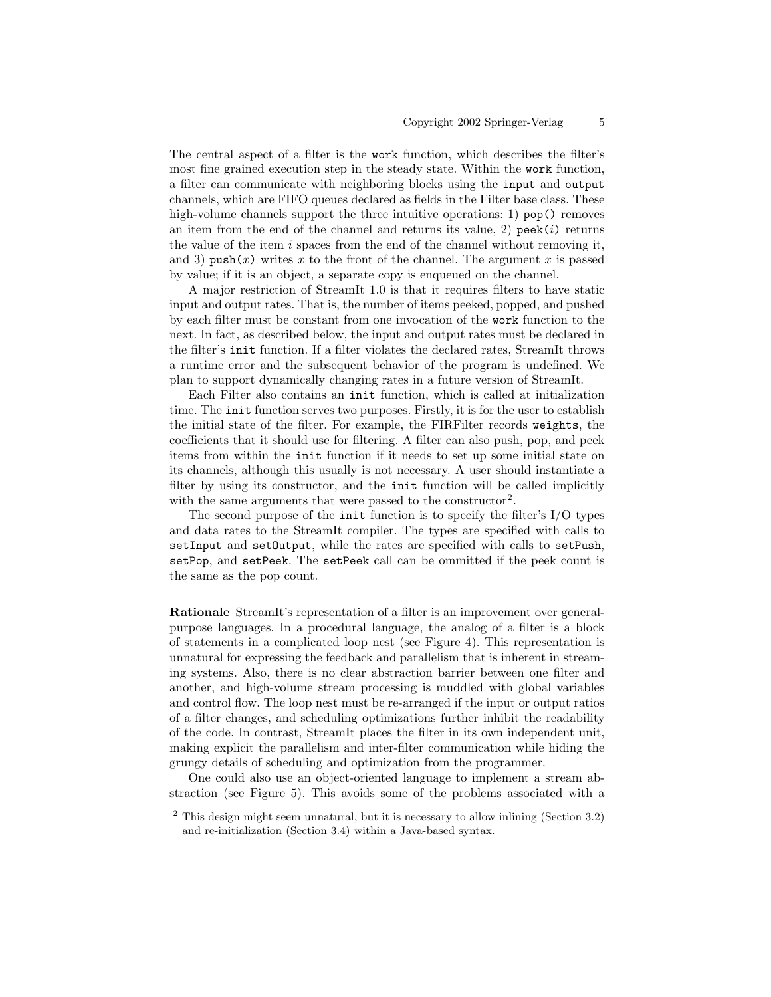The central aspect of a filter is the work function, which describes the filter's most fine grained execution step in the steady state. Within the work function, a filter can communicate with neighboring blocks using the input and output channels, which are FIFO queues declared as fields in the Filter base class. These high-volume channels support the three intuitive operations: 1) pop() removes an item from the end of the channel and returns its value, 2)  $\mathsf{peak}(i)$  returns the value of the item  $i$  spaces from the end of the channel without removing it, and 3) push(x) writes x to the front of the channel. The argument x is passed by value; if it is an object, a separate copy is enqueued on the channel.

A major restriction of StreamIt 1.0 is that it requires filters to have static input and output rates. That is, the number of items peeked, popped, and pushed by each filter must be constant from one invocation of the work function to the next. In fact, as described below, the input and output rates must be declared in the filter's init function. If a filter violates the declared rates, StreamIt throws a runtime error and the subsequent behavior of the program is undefined. We plan to support dynamically changing rates in a future version of StreamIt.

Each Filter also contains an init function, which is called at initialization time. The init function serves two purposes. Firstly, it is for the user to establish the initial state of the filter. For example, the FIRFilter records weights, the coefficients that it should use for filtering. A filter can also push, pop, and peek items from within the init function if it needs to set up some initial state on its channels, although this usually is not necessary. A user should instantiate a filter by using its constructor, and the init function will be called implicitly with the same arguments that were passed to the constructor<sup>2</sup>.

The second purpose of the init function is to specify the filter's I/O types and data rates to the StreamIt compiler. The types are specified with calls to setInput and setOutput, while the rates are specified with calls to setPush, setPop, and setPeek. The setPeek call can be ommitted if the peek count is the same as the pop count.

Rationale StreamIt's representation of a filter is an improvement over generalpurpose languages. In a procedural language, the analog of a filter is a block of statements in a complicated loop nest (see Figure 4). This representation is unnatural for expressing the feedback and parallelism that is inherent in streaming systems. Also, there is no clear abstraction barrier between one filter and another, and high-volume stream processing is muddled with global variables and control flow. The loop nest must be re-arranged if the input or output ratios of a filter changes, and scheduling optimizations further inhibit the readability of the code. In contrast, StreamIt places the filter in its own independent unit, making explicit the parallelism and inter-filter communication while hiding the grungy details of scheduling and optimization from the programmer.

One could also use an object-oriented language to implement a stream abstraction (see Figure 5). This avoids some of the problems associated with a

<sup>&</sup>lt;sup>2</sup> This design might seem unnatural, but it is necessary to allow inlining (Section 3.2) and re-initialization (Section 3.4) within a Java-based syntax.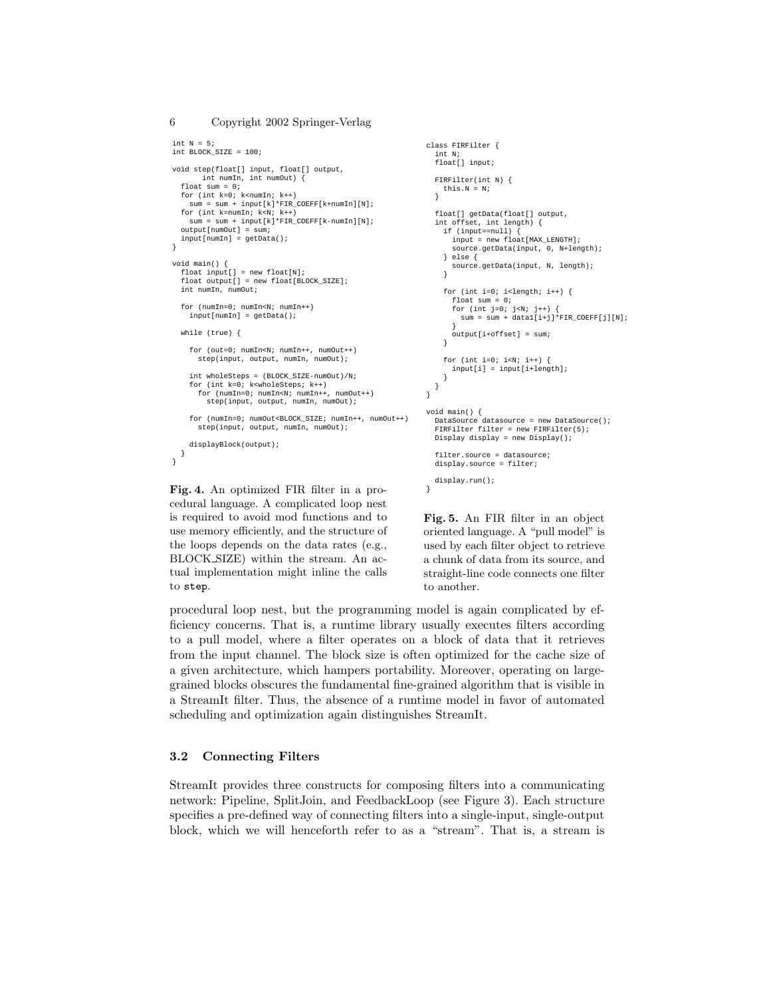```
int N = 5;
int BLOCK_SIZE = 100;
void step(float[] input, float[] output,
       int numIn, int numOut) {
  float sum = 0;for (int k=0; k<numIn; k++)
    sum = sum + input[k]*FIR_COEFF[k+numIn][N];
  for (int k=numIn; k<N; k++) 
   \texttt{sum = sum + input[k]*FIR\_COEFF[k-numIn][N];}output[numOut] = sum;
  input[numIn] = getData();
}
void main() {
  float input[] = new float[N];
 float output[] = new float[BiOCK, SIZE]; int numIn, numOut;
  for (numIn=0; numIn<N; numIn++)
     input[numIn] = getData();
   while (true) {
    for (out=0; numIn<N; numIn++, numOut++)
       step(input, output, numIn, numOut);
    int wholeSteps = (BLOCK_SIZE-numOut)/N;
     for (int k=0; k<wholeSteps; k++)
       for (numIn=0; numIn<N; numIn++, numOut++)
         step(input, output, numIn, numOut);
     for (numIn=0; numOut<BLOCK_SIZE; numIn++, numOut++)
      step(input, output, numIn, numOut);
    displayBlock(output);
  }
}
                                                              }
```

```
class FIRFilter {
   int N;
   float[] input;
   FIRFilter(int N) {
    this.N = N;
 }
  float[] getData(float[] output,
   int offset, int length) {
     if (input==null) {
       input = new float[MAX_LENGTH];
       source.getData(input, 0, N+length);
     } else {
       source.getData(input, N, length);
     }
     for (int i=0; i<length; i++) {
      float sum = 0;for (int j=0; j < N; j++) {
         sum = sum + data1[i+j]*FIR_COEFF[j][N];
 }
      output[i+offset] = sum; }
    for (int i=0; i< N; i++) {
      input[i] = input[i+length]; }
  }
void main() {
 DataSource datasource = new DataSource();
 FIRFilter filter = new FIRFilter(5);
   Display display = new Display();
   filter.source = datasource;
 display.source = filter;
  display.run();
```
Fig. 4. An optimized FIR filter in a procedural language. A complicated loop nest is required to avoid mod functions and to use memory efficiently, and the structure of the loops depends on the data rates (e.g., BLOCK SIZE) within the stream. An actual implementation might inline the calls to step.

Fig. 5. An FIR filter in an object oriented language. A "pull model" is used by each filter object to retrieve a chunk of data from its source, and straight-line code connects one filter to another.

procedural loop nest, but the programming model is again complicated by efficiency concerns. That is, a runtime library usually executes filters according to a pull model, where a filter operates on a block of data that it retrieves from the input channel. The block size is often optimized for the cache size of a given architecture, which hampers portability. Moreover, operating on largegrained blocks obscures the fundamental fine-grained algorithm that is visible in a StreamIt filter. Thus, the absence of a runtime model in favor of automated scheduling and optimization again distinguishes StreamIt.

}

### 3.2 Connecting Filters

StreamIt provides three constructs for composing filters into a communicating network: Pipeline, SplitJoin, and FeedbackLoop (see Figure 3). Each structure specifies a pre-defined way of connecting filters into a single-input, single-output block, which we will henceforth refer to as a "stream". That is, a stream is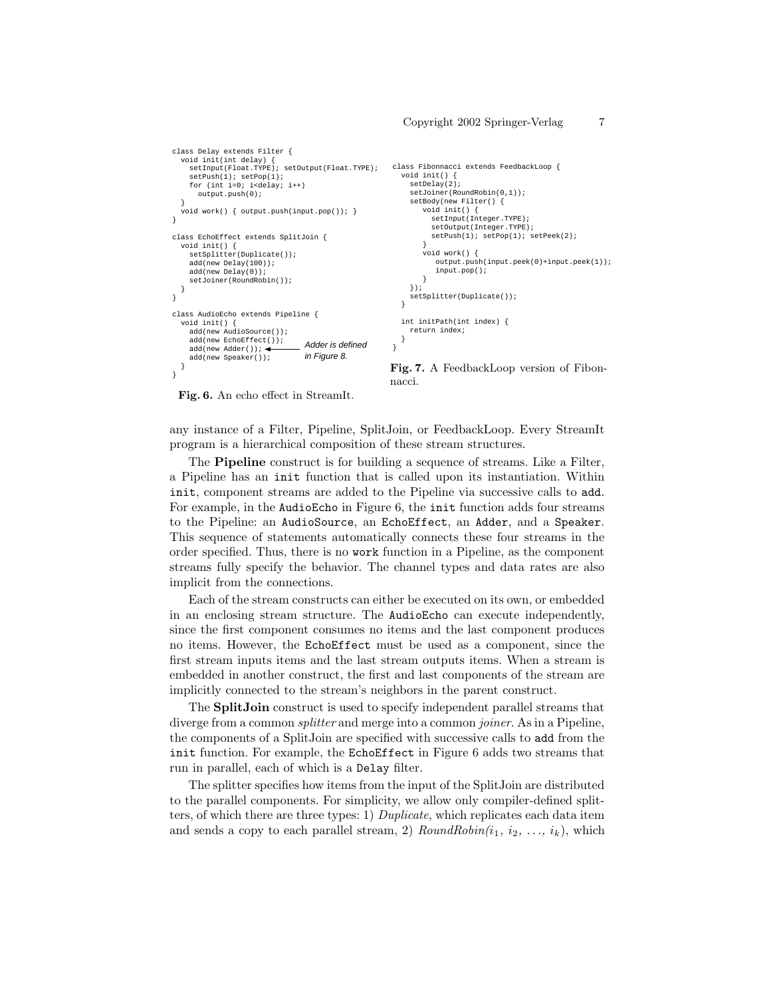```
class Delay extends Filter {
   void init(int delay) {
     setInput(Float.TYPE); setOutput(Float.TYPE);
     setPush(1); setPop(1);
     for (int i=0; i<delay; i++)
       output.push(0);
 }
   void work() { output.push(input.pop()); }
}
class EchoEffect extends SplitJoin {
  void init() {
     setSplitter(Duplicate());
    add(new Delay(100));
    add(new Delay(0));
     setJoiner(RoundRobin());
 }
}
class AudioEcho extends Pipeline {
  void init() {
     add(new AudioSource());
     add(new EchoEffect());
    add(new Adder()); <
     add(new Speaker());
 }
}
                                Adder is defined
                                in Figure 8.
```

```
class Fibonnacci extends FeedbackLoop {
   void init() {
    setDelay(2);
     setJoiner(RoundRobin(0,1));
      setBody(new Filter() {
        void init() {
          setInput(Integer.TYPE);
          setOutput(Integer.TYPE);
          setPush(1); setPop(1); setPeek(2);
  }
         void work() {
            output.push(input.peek(0)+input.peek(1));
            input.pop();
         }
      });
      setSplitter(Duplicate());
   }
   int initPath(int index) {
     return index;
  }
 }
```
Fig. 6. An echo effect in StreamIt.

Fig. 7. A FeedbackLoop version of Fibonnacci.

any instance of a Filter, Pipeline, SplitJoin, or FeedbackLoop. Every StreamIt program is a hierarchical composition of these stream structures.

The Pipeline construct is for building a sequence of streams. Like a Filter, a Pipeline has an init function that is called upon its instantiation. Within init, component streams are added to the Pipeline via successive calls to add. For example, in the AudioEcho in Figure 6, the init function adds four streams to the Pipeline: an AudioSource, an EchoEffect, an Adder, and a Speaker. This sequence of statements automatically connects these four streams in the order specified. Thus, there is no work function in a Pipeline, as the component streams fully specify the behavior. The channel types and data rates are also implicit from the connections.

Each of the stream constructs can either be executed on its own, or embedded in an enclosing stream structure. The AudioEcho can execute independently, since the first component consumes no items and the last component produces no items. However, the EchoEffect must be used as a component, since the first stream inputs items and the last stream outputs items. When a stream is embedded in another construct, the first and last components of the stream are implicitly connected to the stream's neighbors in the parent construct.

The SplitJoin construct is used to specify independent parallel streams that diverge from a common *splitter* and merge into a common *joiner*. As in a Pipeline, the components of a SplitJoin are specified with successive calls to add from the init function. For example, the EchoEffect in Figure 6 adds two streams that run in parallel, each of which is a Delay filter.

The splitter specifies how items from the input of the SplitJoin are distributed to the parallel components. For simplicity, we allow only compiler-defined splitters, of which there are three types: 1) Duplicate, which replicates each data item and sends a copy to each parallel stream, 2)  $RoundRobin(i_1, i_2, \ldots, i_k)$ , which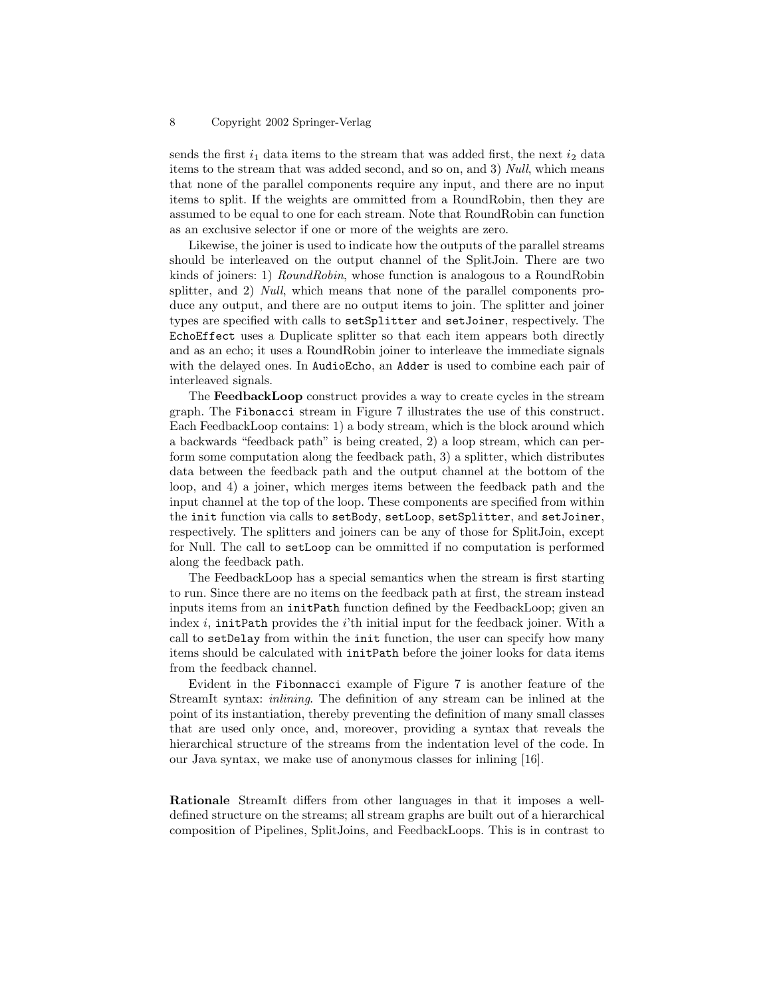sends the first  $i_1$  data items to the stream that was added first, the next  $i_2$  data items to the stream that was added second, and so on, and 3) Null, which means that none of the parallel components require any input, and there are no input items to split. If the weights are ommitted from a RoundRobin, then they are assumed to be equal to one for each stream. Note that RoundRobin can function as an exclusive selector if one or more of the weights are zero.

Likewise, the joiner is used to indicate how the outputs of the parallel streams should be interleaved on the output channel of the SplitJoin. There are two kinds of joiners: 1) RoundRobin, whose function is analogous to a RoundRobin splitter, and 2) Null, which means that none of the parallel components produce any output, and there are no output items to join. The splitter and joiner types are specified with calls to setSplitter and setJoiner, respectively. The EchoEffect uses a Duplicate splitter so that each item appears both directly and as an echo; it uses a RoundRobin joiner to interleave the immediate signals with the delayed ones. In AudioEcho, an Adder is used to combine each pair of interleaved signals.

The FeedbackLoop construct provides a way to create cycles in the stream graph. The Fibonacci stream in Figure 7 illustrates the use of this construct. Each FeedbackLoop contains: 1) a body stream, which is the block around which a backwards "feedback path" is being created, 2) a loop stream, which can perform some computation along the feedback path, 3) a splitter, which distributes data between the feedback path and the output channel at the bottom of the loop, and 4) a joiner, which merges items between the feedback path and the input channel at the top of the loop. These components are specified from within the init function via calls to setBody, setLoop, setSplitter, and setJoiner, respectively. The splitters and joiners can be any of those for SplitJoin, except for Null. The call to setLoop can be ommitted if no computation is performed along the feedback path.

The FeedbackLoop has a special semantics when the stream is first starting to run. Since there are no items on the feedback path at first, the stream instead inputs items from an initPath function defined by the FeedbackLoop; given an index  $i$ , initPath provides the  $i$ 'th initial input for the feedback joiner. With a call to setDelay from within the init function, the user can specify how many items should be calculated with initPath before the joiner looks for data items from the feedback channel.

Evident in the Fibonnacci example of Figure 7 is another feature of the StreamIt syntax: inlining. The definition of any stream can be inlined at the point of its instantiation, thereby preventing the definition of many small classes that are used only once, and, moreover, providing a syntax that reveals the hierarchical structure of the streams from the indentation level of the code. In our Java syntax, we make use of anonymous classes for inlining [16].

Rationale StreamIt differs from other languages in that it imposes a welldefined structure on the streams; all stream graphs are built out of a hierarchical composition of Pipelines, SplitJoins, and FeedbackLoops. This is in contrast to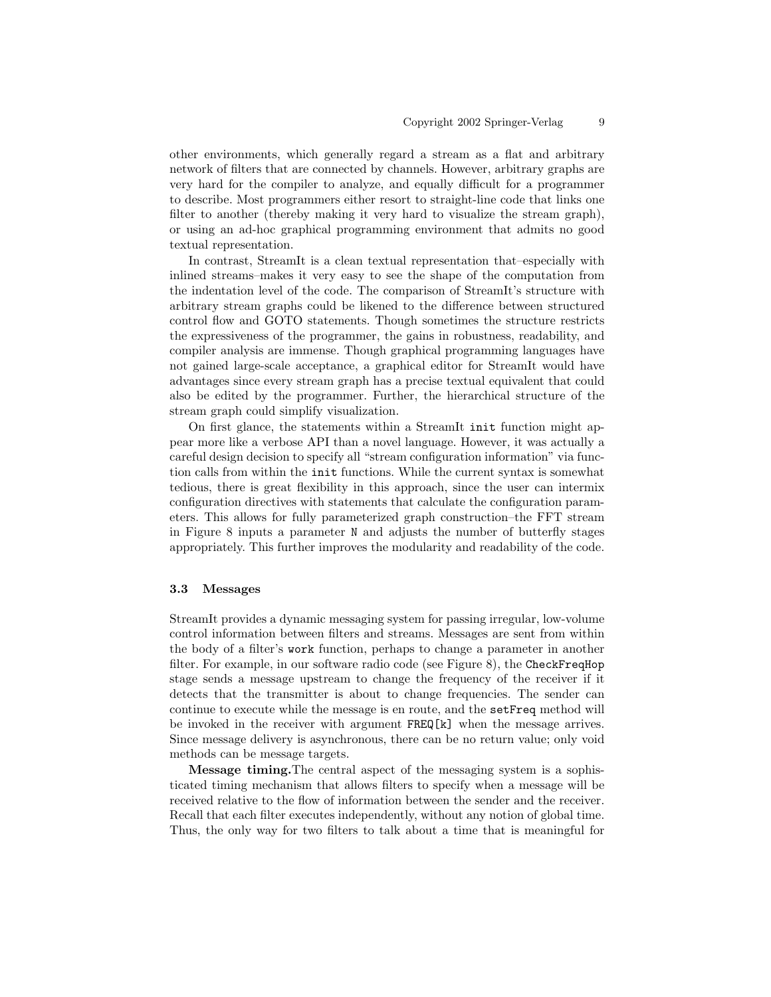other environments, which generally regard a stream as a flat and arbitrary network of filters that are connected by channels. However, arbitrary graphs are very hard for the compiler to analyze, and equally difficult for a programmer to describe. Most programmers either resort to straight-line code that links one filter to another (thereby making it very hard to visualize the stream graph), or using an ad-hoc graphical programming environment that admits no good textual representation.

In contrast, StreamIt is a clean textual representation that–especially with inlined streams–makes it very easy to see the shape of the computation from the indentation level of the code. The comparison of StreamIt's structure with arbitrary stream graphs could be likened to the difference between structured control flow and GOTO statements. Though sometimes the structure restricts the expressiveness of the programmer, the gains in robustness, readability, and compiler analysis are immense. Though graphical programming languages have not gained large-scale acceptance, a graphical editor for StreamIt would have advantages since every stream graph has a precise textual equivalent that could also be edited by the programmer. Further, the hierarchical structure of the stream graph could simplify visualization.

On first glance, the statements within a StreamIt init function might appear more like a verbose API than a novel language. However, it was actually a careful design decision to specify all "stream configuration information" via function calls from within the init functions. While the current syntax is somewhat tedious, there is great flexibility in this approach, since the user can intermix configuration directives with statements that calculate the configuration parameters. This allows for fully parameterized graph construction–the FFT stream in Figure 8 inputs a parameter N and adjusts the number of butterfly stages appropriately. This further improves the modularity and readability of the code.

#### 3.3 Messages

StreamIt provides a dynamic messaging system for passing irregular, low-volume control information between filters and streams. Messages are sent from within the body of a filter's work function, perhaps to change a parameter in another filter. For example, in our software radio code (see Figure 8), the CheckFreqHop stage sends a message upstream to change the frequency of the receiver if it detects that the transmitter is about to change frequencies. The sender can continue to execute while the message is en route, and the setFreq method will be invoked in the receiver with argument FREQ[k] when the message arrives. Since message delivery is asynchronous, there can be no return value; only void methods can be message targets.

Message timing.The central aspect of the messaging system is a sophisticated timing mechanism that allows filters to specify when a message will be received relative to the flow of information between the sender and the receiver. Recall that each filter executes independently, without any notion of global time. Thus, the only way for two filters to talk about a time that is meaningful for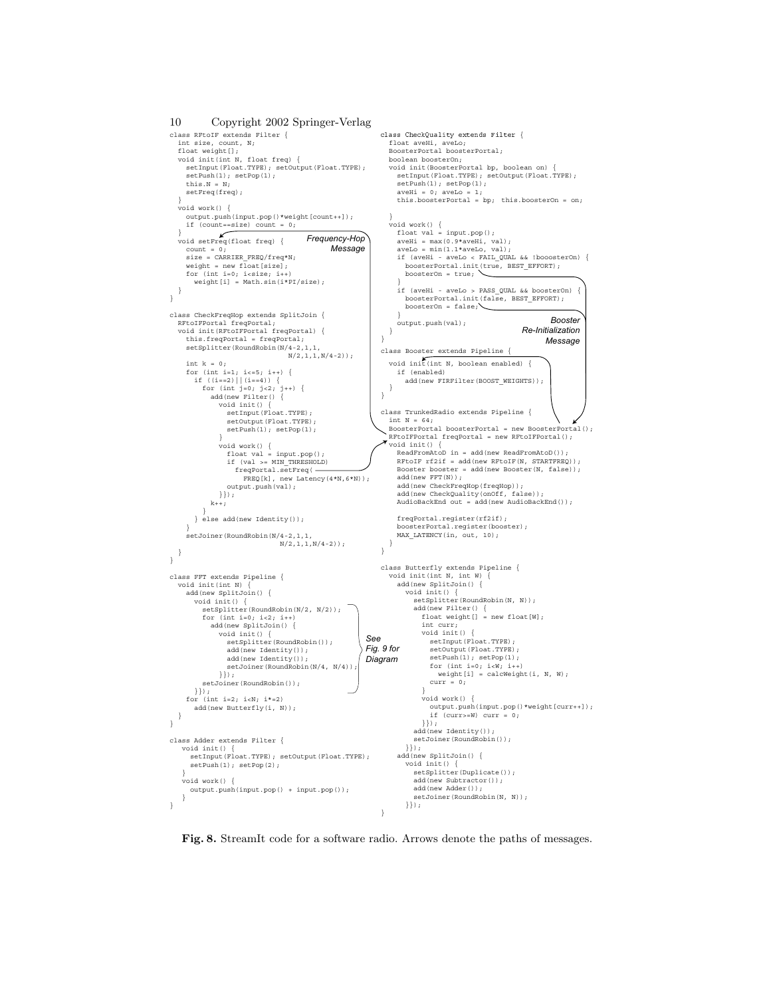```
10 Copyright 2002 Springer-Verlag
                                                              class CheckQuality extends Filter {
                                                              float aveHi, aveLo;
 BoosterPortal boosterPortal;
                                                                boolean boosterOn;
                                                              void init(BoosterPortal bp, boolean on) {
 setInput(Float.TYPE); setOutput(Float.TYPE);
                                                                  setPush(1); setPop(1);
                                                             aveHi = 0; aveLo = 1;<br>this.boosterPortal = bp; this.boosterOn = on;
                                                              }
 void work() {
 float val = input.pop();
                                                              aveHi = max(0.9*aveHi, val);
 aveLo = min(1.1*aveLo, val);
                                                                   if (aveHi - aveLo < FAIL_QUAL && !booosterOn) {
                                                                     boosterPortal.init(true, BEST_EFFORT);
                                                                     boosterOn = true;
                                                              }
                                                                  .<br>if (aveHi - aveLo > PASS OUAL && boosterOn)
                                                                     boosterPortal.init(false, BEST_EFFORT);
                                                                    boosterOn = false; }
                                                                  ,<br>output.push(val);
                                                              }
                                                             }
                                                                void init(int N, boolean enabled) {
                                                                   if (enabled)
                                                              }
                                                             }
                                                             class TrunkedRadio extends Pipeline {
                                                               int N = 64:
                                                               BoosterPortal boosterPortal = new BoosterPortal();
                                                                RFtoIFPortal freqPortal = new RFtoIFPortal();
                                                                void init() {
                                                                 ReadFromAtoD in = add(new ReadFromAtoD());
                                                                  RFCOIF rf2if = add(new RFCOF(N, STARTFREQ)); Booster booster = add(new Booster(N, false));
                                                                   add(new FFT(N));
                                                                  add(new CheckFreqHop(freqHop));
                                                              add(new CheckQuality(onOff, false));
 AudioBackEnd out = add(new AudioBackEnd());
                                                                   freqPortal.register(rf2if);
                                                              boosterPortal.register(booster);
 MAX_LATENCY(in, out, 10);
                                                                }
                                                             }
                                                             class Butterfly extends Pipeline {
 void init(int N, int W) {
                                                                  add(new SplitJoin() {
                                                                     void init() {
                                                                      setSplitter(RoundRobin(N, N));
                                                              add(new Filter() {
 float weight[] = new float[W];
                                                                          int curr;
                                                                          void init() {
                                                                           setInput(Float.TYPE);
                                                                           setOutput(Float.TYPE);
                                                                           setPush(1); setPop(1);
                                                              for (int i=0; i<W; i++)
 weight[i] = calcWeight(i, N, W);
                                                                           curr = 0; }
                                                                          void work() {
                                                                            output.push(input.pop()*weight[curr++]);
                                                                            if (curr>=W) curr = 0;
                                                                          }});
                                                                        add(new Identity());
                                                                        setJoiner(RoundRobin());
                                                                     }});
                                                                   add(new SplitJoin() {
                                                              void init() {
 setSplitter(Duplicate());
                                                                       add(new Subtractor());
                                                                       add(new Adder());
                                                                       setJoiner(RoundRobin(N, N));
                                                                     }});
                                                             }
class RFtoIF extends Filter {
   int size, count, N;
  float weight[];
   void init(int N, float freq) {
 setInput(Float.TYPE); setOutput(Float.TYPE);
 setPush(1); setPop(1);
     this.N = N;
    setFreq(freq);
 }
  ,<br>void work() {
     output.push(input.pop()*weight[count++]);
     if (count==size) count = 0;
 }
 void setFreq(float freq) {
 count = 0;
    size = CARRIER_FREQ/freq*N;
 weight = new float[size];
 for (int i=0; i<size; i++)
       weight[i] = Math.sin(i*PI/size);
   }
}
class CheckFreqHop extends SplitJoin {
 RFtoIFPortal freqPortal;
   void init(RFtoIFPortal freqPortal) {
     this.freqPortal = freqPortal;
setSplitter(RoundRobin(N/4-2,1,1,<br>N/2,1,1,N/4-2));
    int k = 0;
for (int i=1; i<=5; i++) {<br>
if ((i==2)||(i==4)) {<br>
for (int j=0; j<2; j++) {
            add(new Filter() {
               void init() {
                setInput(Float.TYPE);
 setOutput(Float.TYPE);
 setPush(1); setPop(1);
 }
 void work() {
 float val = input.pop();
 if (val >= MIN_THRESHOLD)
 freqPortal.setFreq(
 FREQ[k], new Latency(4*N,6*N));
                 output.push(val);
 }});
 k++;
 }
       } else add(new Identity());
 }
     setJoiner(RoundRobin(N/4-2,1,1,
                               \mathbb{N}/2 , \mathbb{1} , \mathbb{N}/4 - 2) ) ;
   }
}
class FFT extends Pipeline {
  void init(int N) {
 add(new SplitJoin() {
 void init() {
         setSplitter(RoundRobin(N/2, N/2));<br>for (int i=0; i<2; i++)
 for (int i=0; i<2; i++)
 add(new SplitJoin() {
               void init() {
                setSplitter(RoundRobin());
 add(new Identity());
 add(new Identity());
 setJoiner(RoundRobin(N/4, N/4));
 }});
          setJoiner(RoundRobin());
        }});
    for (int i=2; i < N; i*=2)add(new Butterfly(i, N));
   }
}
class Adder extends Filter {
    void init() {
      setInput(Float.TYPE); setOutput(Float.TYPE);
      setPush(1); setPop(2);
 }
    void work() {
       output.push(input.pop() + input.pop());
 }
}
                                                             class Booster extends Pipeline {
                                                                    add(new FIRFilter(BOOST_WEIGHTS));
                                                        See
                                                        Fig. 9 for
                                                        Diagram
                                       Frequency-Hop
                                              Message
                                                                                                              Booster
                                                                                                      Re-Initialization
                                                                                                             Message
```
Fig. 8. StreamIt code for a software radio. Arrows denote the paths of messages.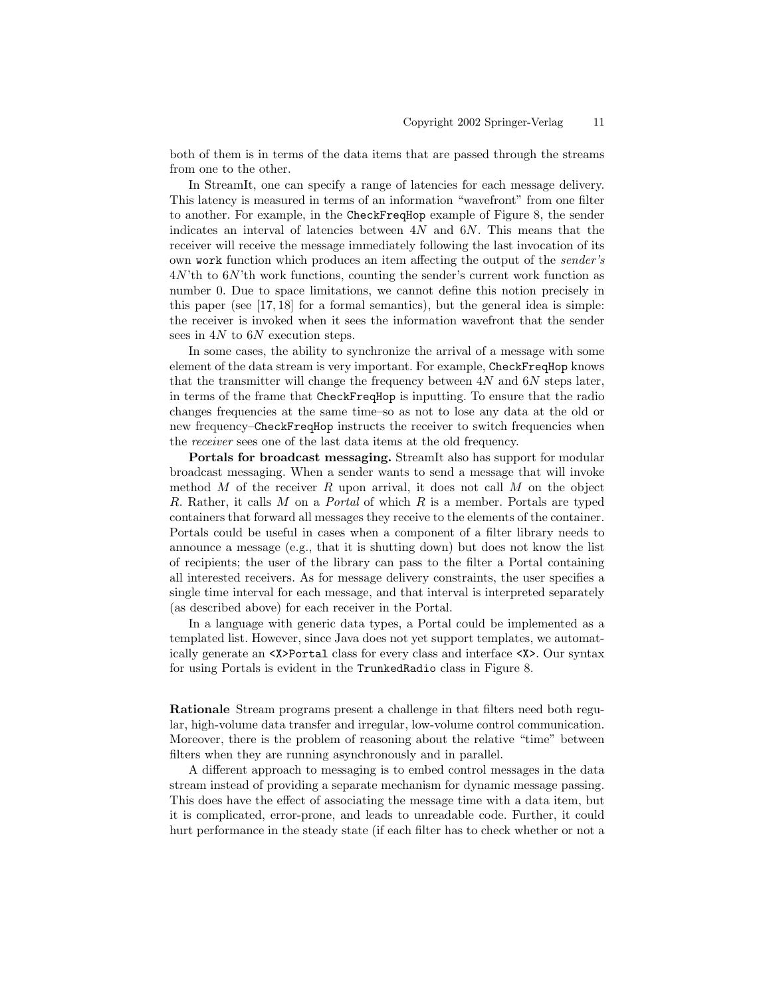both of them is in terms of the data items that are passed through the streams from one to the other.

In StreamIt, one can specify a range of latencies for each message delivery. This latency is measured in terms of an information "wavefront" from one filter to another. For example, in the CheckFreqHop example of Figure 8, the sender indicates an interval of latencies between 4N and 6N. This means that the receiver will receive the message immediately following the last invocation of its own work function which produces an item affecting the output of the sender's  $4N'$ th to  $6N'$ th work functions, counting the sender's current work function as number 0. Due to space limitations, we cannot define this notion precisely in this paper (see [17, 18] for a formal semantics), but the general idea is simple: the receiver is invoked when it sees the information wavefront that the sender sees in 4N to 6N execution steps.

In some cases, the ability to synchronize the arrival of a message with some element of the data stream is very important. For example, CheckFreqHop knows that the transmitter will change the frequency between  $4N$  and  $6N$  steps later, in terms of the frame that CheckFreqHop is inputting. To ensure that the radio changes frequencies at the same time–so as not to lose any data at the old or new frequency–CheckFreqHop instructs the receiver to switch frequencies when the receiver sees one of the last data items at the old frequency.

Portals for broadcast messaging. StreamIt also has support for modular broadcast messaging. When a sender wants to send a message that will invoke method  $M$  of the receiver  $R$  upon arrival, it does not call  $M$  on the object R. Rather, it calls M on a Portal of which R is a member. Portals are typed containers that forward all messages they receive to the elements of the container. Portals could be useful in cases when a component of a filter library needs to announce a message (e.g., that it is shutting down) but does not know the list of recipients; the user of the library can pass to the filter a Portal containing all interested receivers. As for message delivery constraints, the user specifies a single time interval for each message, and that interval is interpreted separately (as described above) for each receiver in the Portal.

In a language with generic data types, a Portal could be implemented as a templated list. However, since Java does not yet support templates, we automatically generate an <X>Portal class for every class and interface <X>. Our syntax for using Portals is evident in the TrunkedRadio class in Figure 8.

Rationale Stream programs present a challenge in that filters need both regular, high-volume data transfer and irregular, low-volume control communication. Moreover, there is the problem of reasoning about the relative "time" between filters when they are running asynchronously and in parallel.

A different approach to messaging is to embed control messages in the data stream instead of providing a separate mechanism for dynamic message passing. This does have the effect of associating the message time with a data item, but it is complicated, error-prone, and leads to unreadable code. Further, it could hurt performance in the steady state (if each filter has to check whether or not a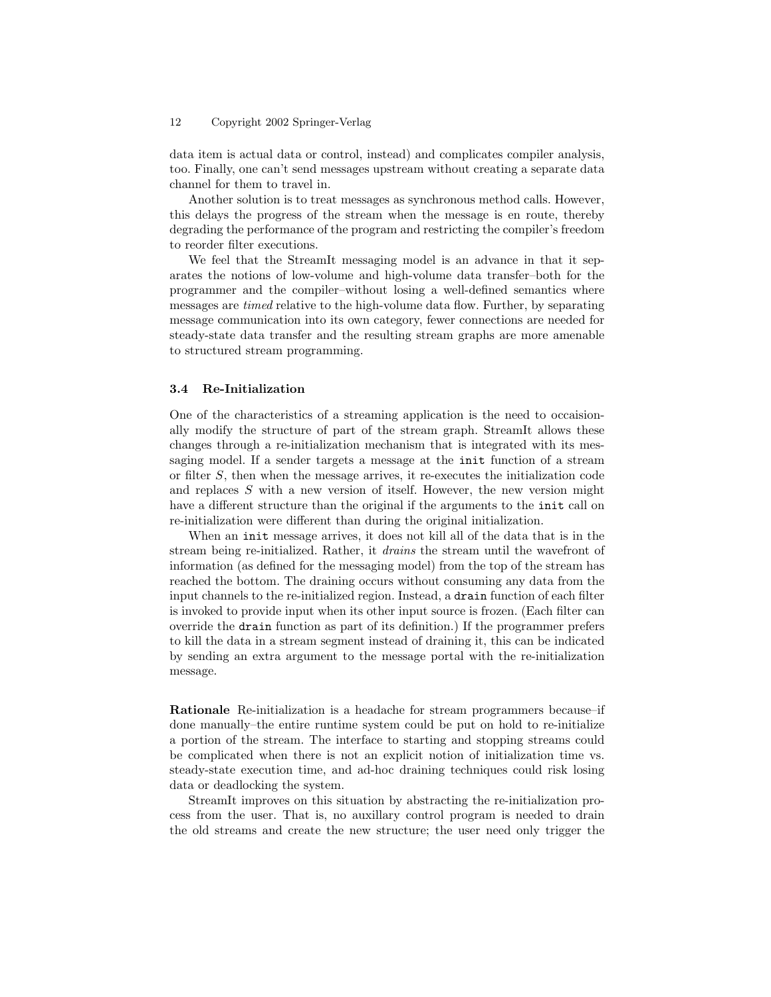data item is actual data or control, instead) and complicates compiler analysis, too. Finally, one can't send messages upstream without creating a separate data channel for them to travel in.

Another solution is to treat messages as synchronous method calls. However, this delays the progress of the stream when the message is en route, thereby degrading the performance of the program and restricting the compiler's freedom to reorder filter executions.

We feel that the StreamIt messaging model is an advance in that it separates the notions of low-volume and high-volume data transfer–both for the programmer and the compiler–without losing a well-defined semantics where messages are timed relative to the high-volume data flow. Further, by separating message communication into its own category, fewer connections are needed for steady-state data transfer and the resulting stream graphs are more amenable to structured stream programming.

## 3.4 Re-Initialization

One of the characteristics of a streaming application is the need to occaisionally modify the structure of part of the stream graph. StreamIt allows these changes through a re-initialization mechanism that is integrated with its messaging model. If a sender targets a message at the init function of a stream or filter S, then when the message arrives, it re-executes the initialization code and replaces  $S$  with a new version of itself. However, the new version might have a different structure than the original if the arguments to the init call on re-initialization were different than during the original initialization.

When an init message arrives, it does not kill all of the data that is in the stream being re-initialized. Rather, it drains the stream until the wavefront of information (as defined for the messaging model) from the top of the stream has reached the bottom. The draining occurs without consuming any data from the input channels to the re-initialized region. Instead, a drain function of each filter is invoked to provide input when its other input source is frozen. (Each filter can override the drain function as part of its definition.) If the programmer prefers to kill the data in a stream segment instead of draining it, this can be indicated by sending an extra argument to the message portal with the re-initialization message.

Rationale Re-initialization is a headache for stream programmers because–if done manually–the entire runtime system could be put on hold to re-initialize a portion of the stream. The interface to starting and stopping streams could be complicated when there is not an explicit notion of initialization time vs. steady-state execution time, and ad-hoc draining techniques could risk losing data or deadlocking the system.

StreamIt improves on this situation by abstracting the re-initialization process from the user. That is, no auxillary control program is needed to drain the old streams and create the new structure; the user need only trigger the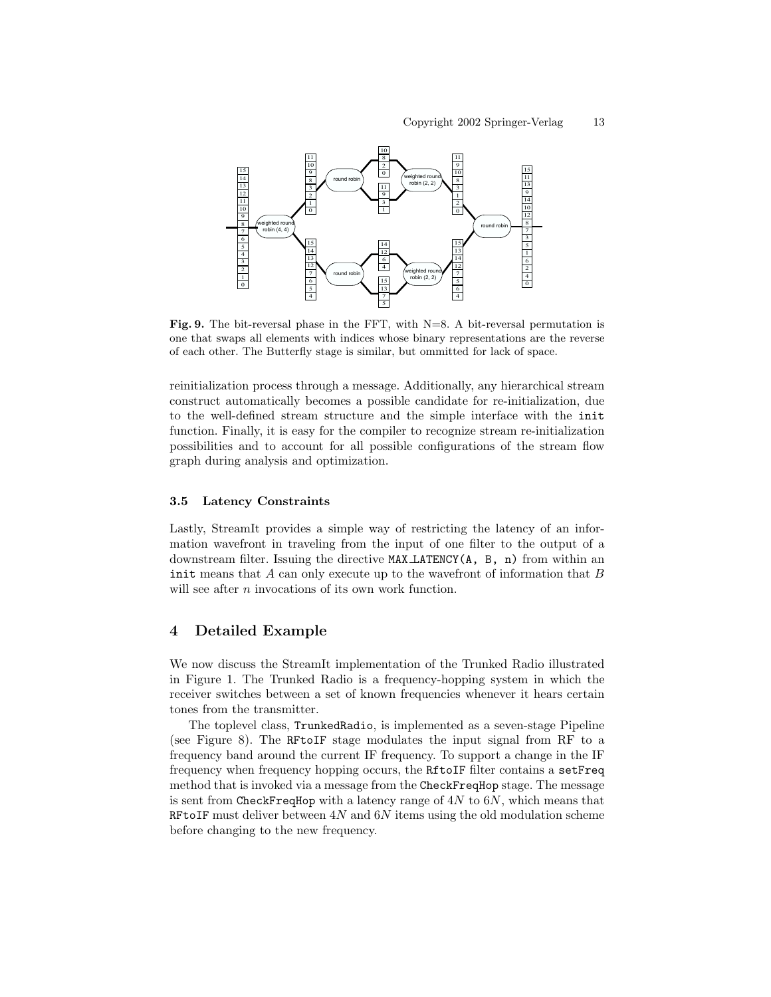

Fig. 9. The bit-reversal phase in the FFT, with N=8. A bit-reversal permutation is one that swaps all elements with indices whose binary representations are the reverse of each other. The Butterfly stage is similar, but ommitted for lack of space.

reinitialization process through a message. Additionally, any hierarchical stream construct automatically becomes a possible candidate for re-initialization, due to the well-defined stream structure and the simple interface with the init function. Finally, it is easy for the compiler to recognize stream re-initialization possibilities and to account for all possible configurations of the stream flow graph during analysis and optimization.

### 3.5 Latency Constraints

Lastly, StreamIt provides a simple way of restricting the latency of an information wavefront in traveling from the input of one filter to the output of a downstream filter. Issuing the directive MAX LATENCY(A, B, n) from within an init means that  $A$  can only execute up to the wavefront of information that  $B$ will see after *n* invocations of its own work function.

## Detailed Example

We now discuss the StreamIt implementation of the Trunked Radio illustrated in Figure 1. The Trunked Radio is a frequency-hopping system in which the receiver switches between a set of known frequencies whenever it hears certain tones from the transmitter.

The toplevel class, TrunkedRadio, is implemented as a seven-stage Pipeline (see Figure 8). The RFtoIF stage modulates the input signal from RF to a frequency band around the current IF frequency. To support a change in the IF frequency when frequency hopping occurs, the RftoIF filter contains a setFreq method that is invoked via a message from the CheckFreqHop stage. The message is sent from CheckFreqHop with a latency range of  $4N$  to  $6N$ , which means that RFtoIF must deliver between  $4N$  and  $6N$  items using the old modulation scheme before changing to the new frequency.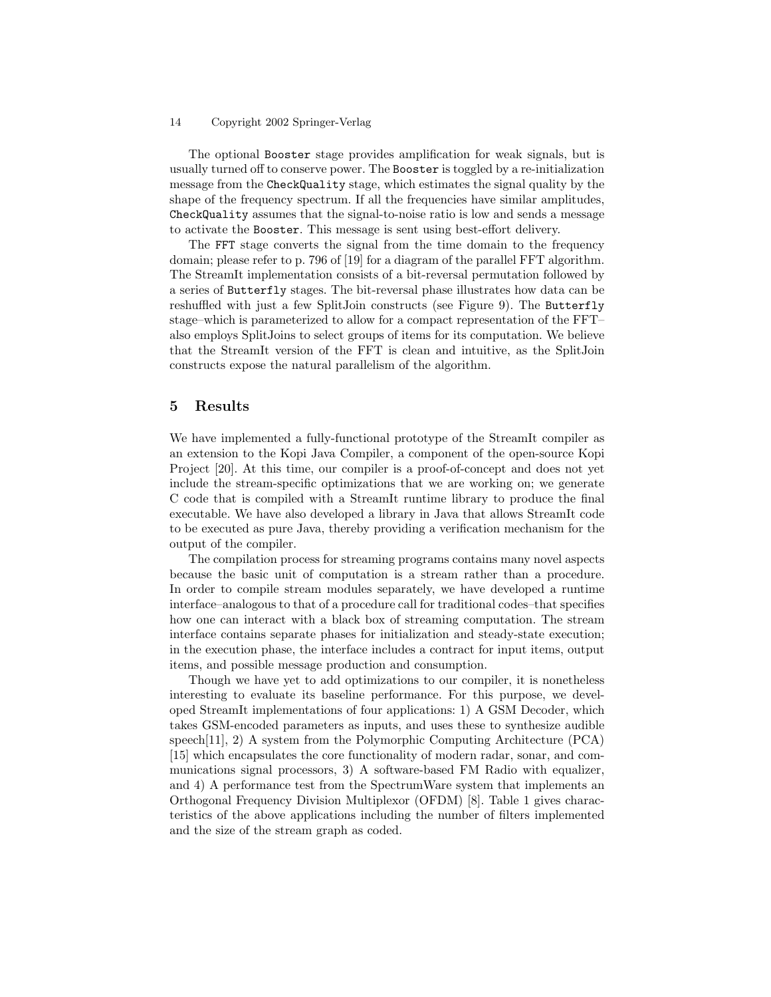The optional Booster stage provides amplification for weak signals, but is usually turned off to conserve power. The Booster is toggled by a re-initialization message from the CheckQuality stage, which estimates the signal quality by the shape of the frequency spectrum. If all the frequencies have similar amplitudes, CheckQuality assumes that the signal-to-noise ratio is low and sends a message to activate the Booster. This message is sent using best-effort delivery.

The FFT stage converts the signal from the time domain to the frequency domain; please refer to p. 796 of [19] for a diagram of the parallel FFT algorithm. The StreamIt implementation consists of a bit-reversal permutation followed by a series of Butterfly stages. The bit-reversal phase illustrates how data can be reshuffled with just a few SplitJoin constructs (see Figure 9). The Butterfly stage–which is parameterized to allow for a compact representation of the FFT– also employs SplitJoins to select groups of items for its computation. We believe that the StreamIt version of the FFT is clean and intuitive, as the SplitJoin constructs expose the natural parallelism of the algorithm.

## 5 Results

We have implemented a fully-functional prototype of the StreamIt compiler as an extension to the Kopi Java Compiler, a component of the open-source Kopi Project [20]. At this time, our compiler is a proof-of-concept and does not yet include the stream-specific optimizations that we are working on; we generate C code that is compiled with a StreamIt runtime library to produce the final executable. We have also developed a library in Java that allows StreamIt code to be executed as pure Java, thereby providing a verification mechanism for the output of the compiler.

The compilation process for streaming programs contains many novel aspects because the basic unit of computation is a stream rather than a procedure. In order to compile stream modules separately, we have developed a runtime interface–analogous to that of a procedure call for traditional codes–that specifies how one can interact with a black box of streaming computation. The stream interface contains separate phases for initialization and steady-state execution; in the execution phase, the interface includes a contract for input items, output items, and possible message production and consumption.

Though we have yet to add optimizations to our compiler, it is nonetheless interesting to evaluate its baseline performance. For this purpose, we developed StreamIt implementations of four applications: 1) A GSM Decoder, which takes GSM-encoded parameters as inputs, and uses these to synthesize audible speech[11], 2) A system from the Polymorphic Computing Architecture (PCA) [15] which encapsulates the core functionality of modern radar, sonar, and communications signal processors, 3) A software-based FM Radio with equalizer, and 4) A performance test from the SpectrumWare system that implements an Orthogonal Frequency Division Multiplexor (OFDM) [8]. Table 1 gives characteristics of the above applications including the number of filters implemented and the size of the stream graph as coded.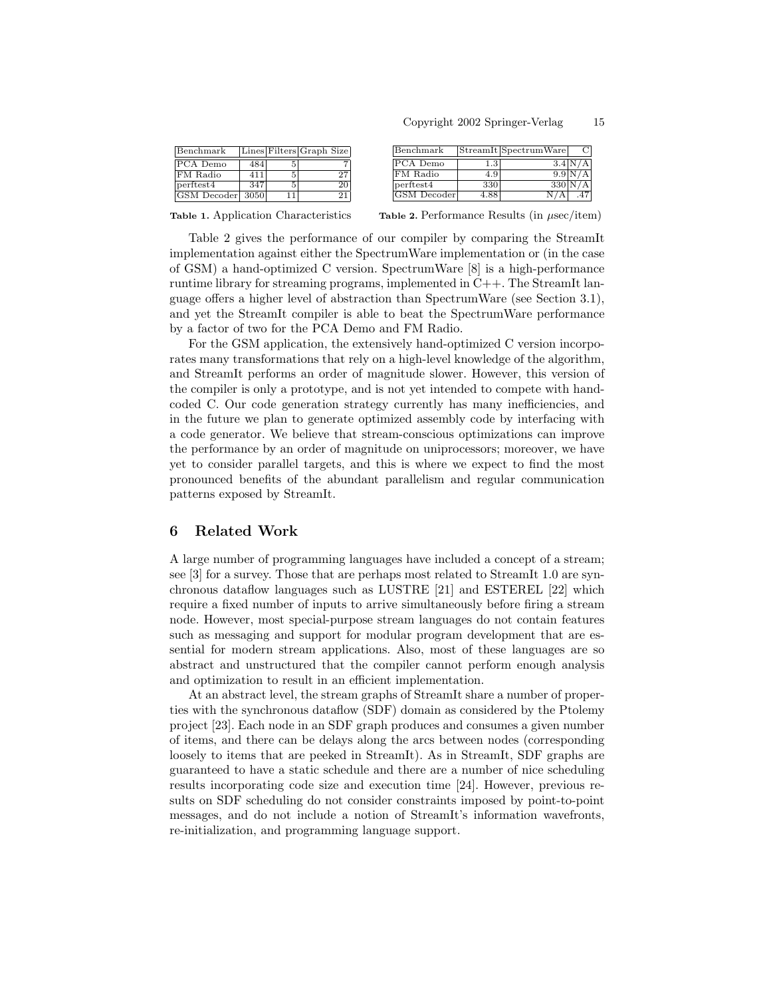| Benchmark        |     |    | Lines Filters Graph Size |
|------------------|-----|----|--------------------------|
| PCA Demo         | 484 | 5. |                          |
| FM Radio         | 411 |    | 27                       |
| perfect4         | 347 |    | 20                       |
| GSM Decoder 3050 |     |    | 21                       |

| Benchmark   |     | StreamIt SpectrumWare |  |
|-------------|-----|-----------------------|--|
| PCA Demo    | 1.3 | 3.4                   |  |
| FM Radio    | 4.9 | 9.9 <sup>°</sup>      |  |
| perftest4   | 330 | 330                   |  |
| GSM Decoder |     |                       |  |

Table 1. Application Characteristics

Table 2. Performance Results (in  $\mu$ sec/item)

Table 2 gives the performance of our compiler by comparing the StreamIt implementation against either the SpectrumWare implementation or (in the case of GSM) a hand-optimized C version. SpectrumWare [8] is a high-performance runtime library for streaming programs, implemented in C++. The StreamIt language offers a higher level of abstraction than SpectrumWare (see Section 3.1), and yet the StreamIt compiler is able to beat the SpectrumWare performance by a factor of two for the PCA Demo and FM Radio.

For the GSM application, the extensively hand-optimized C version incorporates many transformations that rely on a high-level knowledge of the algorithm, and StreamIt performs an order of magnitude slower. However, this version of the compiler is only a prototype, and is not yet intended to compete with handcoded C. Our code generation strategy currently has many inefficiencies, and in the future we plan to generate optimized assembly code by interfacing with a code generator. We believe that stream-conscious optimizations can improve the performance by an order of magnitude on uniprocessors; moreover, we have yet to consider parallel targets, and this is where we expect to find the most pronounced benefits of the abundant parallelism and regular communication patterns exposed by StreamIt.

## 6 Related Work

A large number of programming languages have included a concept of a stream; see [3] for a survey. Those that are perhaps most related to StreamIt 1.0 are synchronous dataflow languages such as LUSTRE [21] and ESTEREL [22] which require a fixed number of inputs to arrive simultaneously before firing a stream node. However, most special-purpose stream languages do not contain features such as messaging and support for modular program development that are essential for modern stream applications. Also, most of these languages are so abstract and unstructured that the compiler cannot perform enough analysis and optimization to result in an efficient implementation.

At an abstract level, the stream graphs of StreamIt share a number of properties with the synchronous dataflow (SDF) domain as considered by the Ptolemy project [23]. Each node in an SDF graph produces and consumes a given number of items, and there can be delays along the arcs between nodes (corresponding loosely to items that are peeked in StreamIt). As in StreamIt, SDF graphs are guaranteed to have a static schedule and there are a number of nice scheduling results incorporating code size and execution time [24]. However, previous results on SDF scheduling do not consider constraints imposed by point-to-point messages, and do not include a notion of StreamIt's information wavefronts, re-initialization, and programming language support.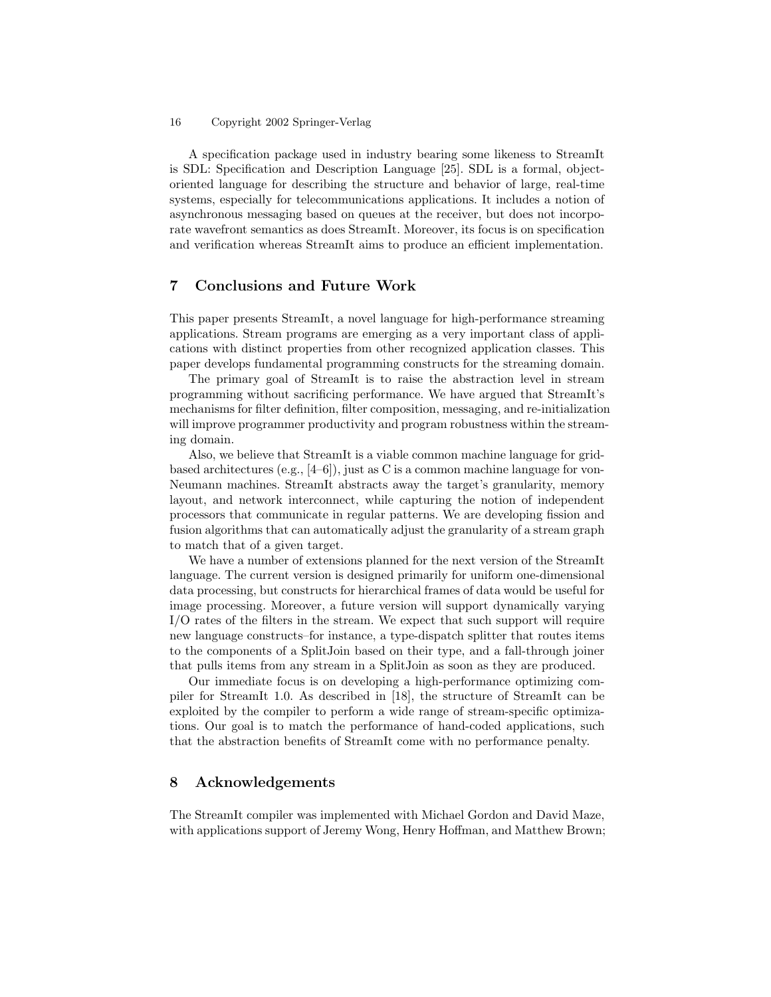A specification package used in industry bearing some likeness to StreamIt is SDL: Specification and Description Language [25]. SDL is a formal, objectoriented language for describing the structure and behavior of large, real-time systems, especially for telecommunications applications. It includes a notion of asynchronous messaging based on queues at the receiver, but does not incorporate wavefront semantics as does StreamIt. Moreover, its focus is on specification and verification whereas StreamIt aims to produce an efficient implementation.

## 7 Conclusions and Future Work

This paper presents StreamIt, a novel language for high-performance streaming applications. Stream programs are emerging as a very important class of applications with distinct properties from other recognized application classes. This paper develops fundamental programming constructs for the streaming domain.

The primary goal of StreamIt is to raise the abstraction level in stream programming without sacrificing performance. We have argued that StreamIt's mechanisms for filter definition, filter composition, messaging, and re-initialization will improve programmer productivity and program robustness within the streaming domain.

Also, we believe that StreamIt is a viable common machine language for gridbased architectures (e.g., [4–6]), just as C is a common machine language for von-Neumann machines. StreamIt abstracts away the target's granularity, memory layout, and network interconnect, while capturing the notion of independent processors that communicate in regular patterns. We are developing fission and fusion algorithms that can automatically adjust the granularity of a stream graph to match that of a given target.

We have a number of extensions planned for the next version of the StreamIt language. The current version is designed primarily for uniform one-dimensional data processing, but constructs for hierarchical frames of data would be useful for image processing. Moreover, a future version will support dynamically varying I/O rates of the filters in the stream. We expect that such support will require new language constructs–for instance, a type-dispatch splitter that routes items to the components of a SplitJoin based on their type, and a fall-through joiner that pulls items from any stream in a SplitJoin as soon as they are produced.

Our immediate focus is on developing a high-performance optimizing compiler for StreamIt 1.0. As described in [18], the structure of StreamIt can be exploited by the compiler to perform a wide range of stream-specific optimizations. Our goal is to match the performance of hand-coded applications, such that the abstraction benefits of StreamIt come with no performance penalty.

## 8 Acknowledgements

The StreamIt compiler was implemented with Michael Gordon and David Maze, with applications support of Jeremy Wong, Henry Hoffman, and Matthew Brown;